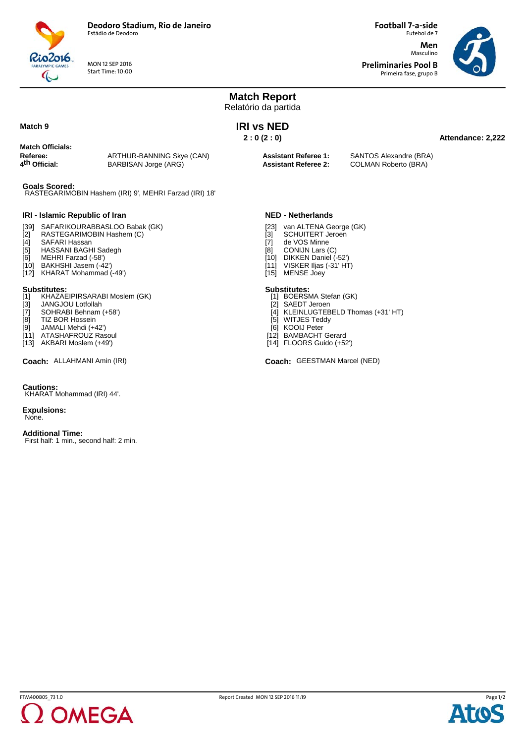

MON 12 SEP 2016 Start Time: 10:00 **Football 7-a-side** Futebol de 7 **Men**

**Preliminaries Pool B** Primeira fase, grupo B

Masculino



**Match Report** Relatório da partida **Attendance: 2,222 IRI vs NED 2 : 0 (2 : 0) Match Officials: Referee:** ARTHUR-BANNING Skye (CAN)<br> **4<sup>th</sup> Official:** BARBISAN Jorge (ARG) **BARBISAN Jorge (ARG) Assistant Referee 1:** SANTOS Alexandre (BRA) **Assistant Referee 2:** COLMAN Roberto (BRA) **Goals Scored:** RASTEGARIMOBIN Hashem (IRI) 9', MEHRI Farzad (IRI) 18' **IRI - Islamic Republic of Iran** [39] SAFARIKOURABBASLOO Babak (GK)<br>[2] RASTEGARIMOBIN Hashem (C)<br>[4] SAFARI Hassan RASTEGARIMOBIN Hashem (C) [4] SAFARI Hassan<br>[5] HASSANI BAGH [5] HASSANI BAGHI Sadegh<br>[6] MEHRI Farzad (-58') MEHRI Farzad (-58') [10] BAKHSHI Jasem (-42') **NED - Netherlands** [23] van ALTENA George (GK)<br>[3] SCHUITERT Jeroen<br>[7] de VOS Minne SCHUITERT Jeroen [7] de VOS Minne<br>[8] CONIJN Lars ( [8] CONIJN Lars (C)<br>[10] DIKKEN Daniel ( DIKKEN Daniel (-52')  $[11]$  VISKER Iljas (-31' HT)

[12] KHARAT Mohammad (-49')

**Match 9**

- **Substitutes:**<br>[1] KHAZAEIPIRSARABI Moslem (GK)
- [3] JANGJOU Lotfollah<br>[7] SOHRABI Behnam
- SOHRABI Behnam (+58')
- [8] TIZ BOR Hossein<br>[9] JAMALI Mehdi (+4
- JAMALI Mehdi (+42') [11] ATASHAFROUZ Rasoul
- [13] AKBARI Moslem (+49')
- 

## **Cautions:**

KHARAT Mohammad (IRI) 44'.

**Expulsions:** None.

**Additional Time:**

First half: 1 min., second half: 2 min.

- 
- [15] MENSE Joey

- **Substitutes:** [1] BOERSMA Stefan (GK)
- [2] SAEDT Jeroen [4] KLEINLUGTEBELD Thomas (+31' HT)
- [5] WITJES Teddy
- [6] KOOIJ Peter
- [12] BAMBACHT Gerard
- [14] FLOORS Guido (+52')

**Coach:** ALLAHMANI Amin (IRI) GEESTMAN Marcel (NED)